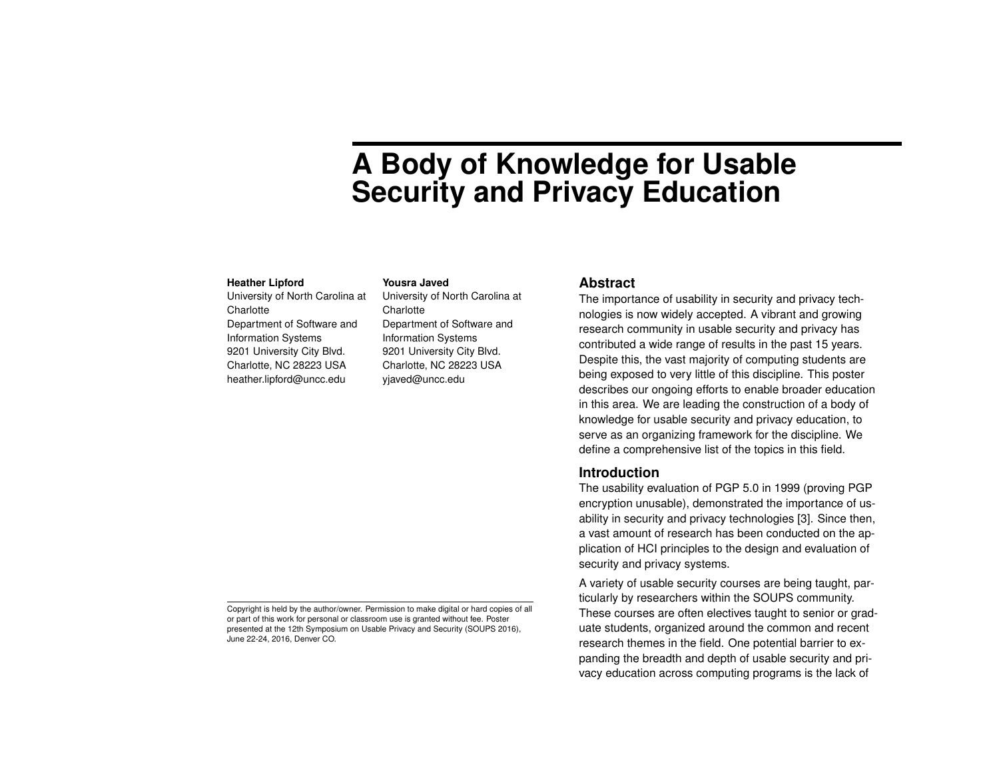# **A Body of Knowledge for Usable Security and Privacy Education**

#### **Heather Lipford**

University of North Carolina at **Charlotte** Department of Software and Information Systems 9201 University City Blvd. Charlotte, NC 28223 USA heather.lipford@uncc.edu

#### **Yousra Javed**

University of North Carolina at **Charlotte** Department of Software and Information Systems 9201 University City Blvd. Charlotte, NC 28223 USA yjaved@uncc.edu

#### **Abstract**

The importance of usability in security and privacy technologies is now widely accepted. A vibrant and growing research community in usable security and privacy has contributed a wide range of results in the past 15 years. Despite this, the vast majority of computing students are being exposed to very little of this discipline. This poster describes our ongoing efforts to enable broader education in this area. We are leading the construction of a body of knowledge for usable security and privacy education, to serve as an organizing framework for the discipline. We define a comprehensive list of the topics in this field.

#### **Introduction**

The usability evaluation of PGP 5.0 in 1999 (proving PGP encryption unusable), demonstrated the importance of usability in security and privacy technologies [\[3\]](#page-4-0). Since then, a vast amount of research has been conducted on the application of HCI principles to the design and evaluation of security and privacy systems.

A variety of usable security courses are being taught, particularly by researchers within the SOUPS community. These courses are often electives taught to senior or graduate students, organized around the common and recent research themes in the field. One potential barrier to expanding the breadth and depth of usable security and privacy education across computing programs is the lack of

Copyright is held by the author/owner. Permission to make digital or hard copies of all or part of this work for personal or classroom use is granted without fee. Poster presented at the 12th Symposium on Usable Privacy and Security (SOUPS 2016), June 22-24, 2016, Denver CO.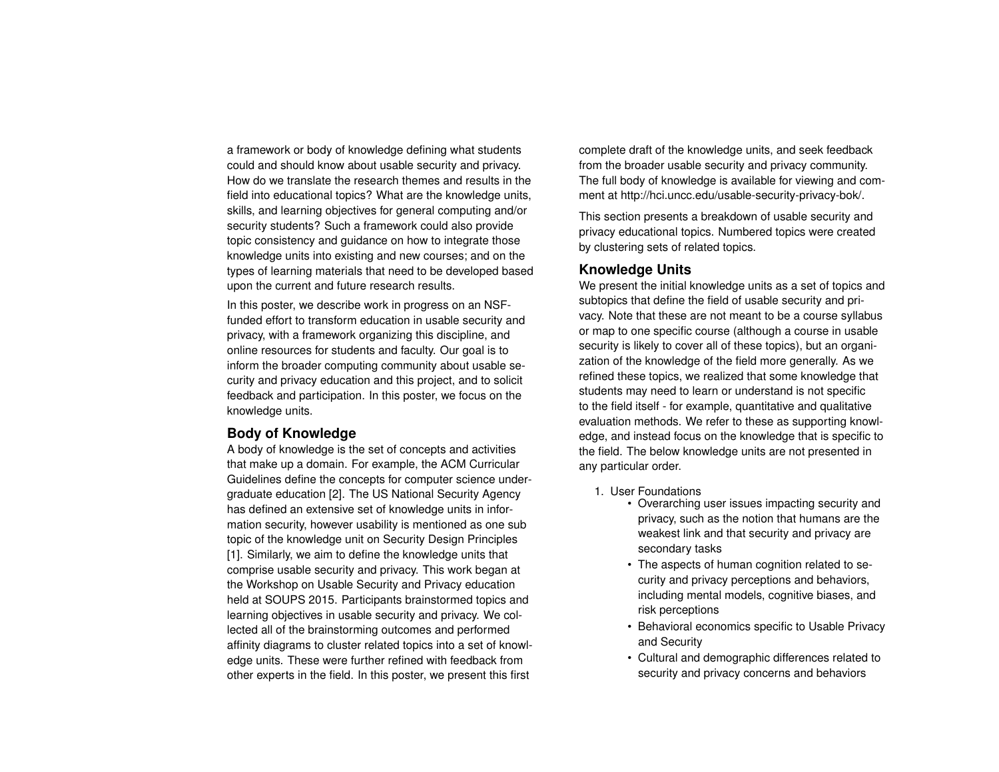a framework or body of knowledge defining what students could and should know about usable security and privacy. How do we translate the research themes and results in the field into educational topics? What are the knowledge units, skills, and learning objectives for general computing and/or security students? Such a framework could also provide topic consistency and guidance on how to integrate those knowledge units into existing and new courses; and on the types of learning materials that need to be developed based upon the current and future research results.

In this poster, we describe work in progress on an NSFfunded effort to transform education in usable security and privacy, with a framework organizing this discipline, and online resources for students and faculty. Our goal is to inform the broader computing community about usable security and privacy education and this project, and to solicit feedback and participation. In this poster, we focus on the knowledge units.

## **Body of Knowledge**

A body of knowledge is the set of concepts and activities that make up a domain. For example, the ACM Curricular Guidelines define the concepts for computer science undergraduate education [\[2\]](#page-4-1). The US National Security Agency has defined an extensive set of knowledge units in information security, however usability is mentioned as one sub topic of the knowledge unit on Security Design Principles [\[1\]](#page-4-2). Similarly, we aim to define the knowledge units that comprise usable security and privacy. This work began at the Workshop on Usable Security and Privacy education held at SOUPS 2015. Participants brainstormed topics and learning objectives in usable security and privacy. We collected all of the brainstorming outcomes and performed affinity diagrams to cluster related topics into a set of knowledge units. These were further refined with feedback from other experts in the field. In this poster, we present this first

complete draft of the knowledge units, and seek feedback from the broader usable security and privacy community. The full body of knowledge is available for viewing and comment at http://hci.uncc.edu/usable-security-privacy-bok/.

This section presents a breakdown of usable security and privacy educational topics. Numbered topics were created by clustering sets of related topics.

## **Knowledge Units**

We present the initial knowledge units as a set of topics and subtopics that define the field of usable security and privacy. Note that these are not meant to be a course syllabus or map to one specific course (although a course in usable security is likely to cover all of these topics), but an organization of the knowledge of the field more generally. As we refined these topics, we realized that some knowledge that students may need to learn or understand is not specific to the field itself - for example, quantitative and qualitative evaluation methods. We refer to these as supporting knowledge, and instead focus on the knowledge that is specific to the field. The below knowledge units are not presented in any particular order.

- 1. User Foundations
	- Overarching user issues impacting security and privacy, such as the notion that humans are the weakest link and that security and privacy are secondary tasks
	- The aspects of human cognition related to security and privacy perceptions and behaviors, including mental models, cognitive biases, and risk perceptions
	- Behavioral economics specific to Usable Privacy and Security
	- Cultural and demographic differences related to security and privacy concerns and behaviors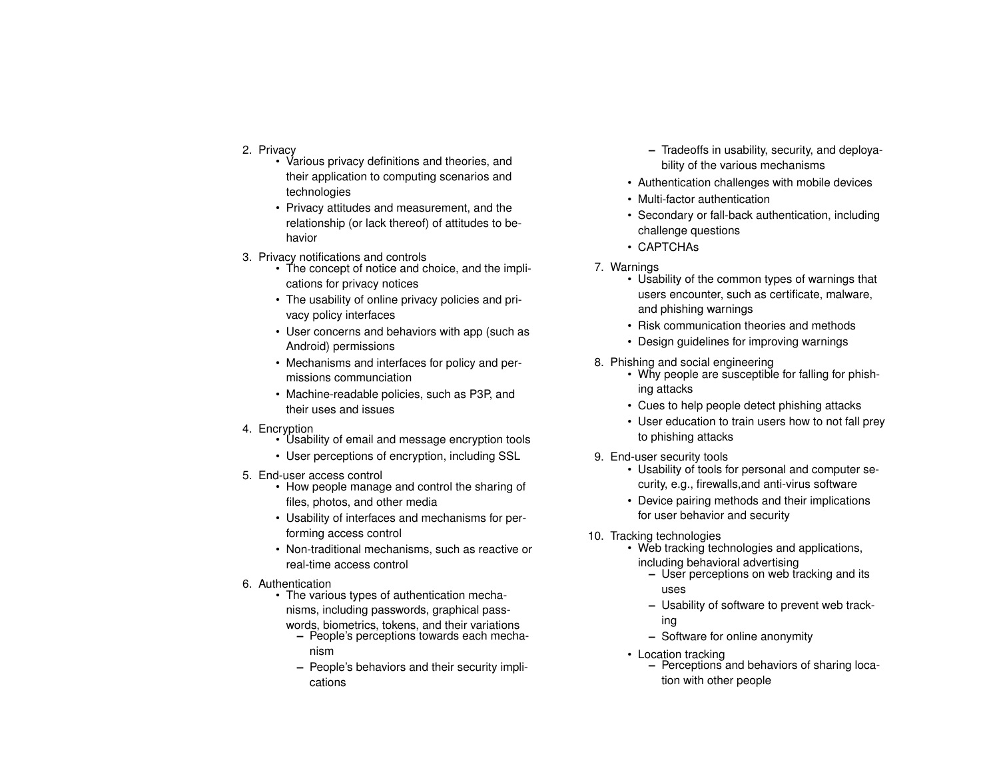- 2. Privacy
	- Various privacy definitions and theories, and their application to computing scenarios and technologies
	- Privacy attitudes and measurement, and the relationship (or lack thereof) of attitudes to behavior
- 3. Privacy notifications and controls
	- The concept of notice and choice, and the implications for privacy notices
	- The usability of online privacy policies and privacy policy interfaces
	- User concerns and behaviors with app (such as Android) permissions
	- Mechanisms and interfaces for policy and permissions communciation
	- Machine-readable policies, such as P3P, and their uses and issues
- 4. Encryption
	- Usability of email and message encryption tools
	- User perceptions of encryption, including SSL
- 5. End-user access control
	- How people manage and control the sharing of files, photos, and other media
	- Usability of interfaces and mechanisms for performing access control
	- Non-traditional mechanisms, such as reactive or real-time access control
- 6. Authentication
	- The various types of authentication mechanisms, including passwords, graphical pass
		- words, biometrics, tokens, and their variations **–** People's perceptions towards each mecha
			- nism
			- **–** People's behaviors and their security implications
- **–** Tradeoffs in usability, security, and deployability of the various mechanisms
- Authentication challenges with mobile devices
- Multi-factor authentication
- Secondary or fall-back authentication, including challenge questions
- CAPTCHAs
- 7. Warnings
	- Usability of the common types of warnings that users encounter, such as certificate, malware, and phishing warnings
	- Risk communication theories and methods
	- Design guidelines for improving warnings
- 8. Phishing and social engineering
	- Why people are susceptible for falling for phishing attacks
	- Cues to help people detect phishing attacks
	- User education to train users how to not fall prey to phishing attacks
- 9. End-user security tools
	- Usability of tools for personal and computer security, e.g., firewalls,and anti-virus software
	- Device pairing methods and their implications for user behavior and security
- 10. Tracking technologies
	- Web tracking technologies and applications, including behavioral advertising
		- **–** User perceptions on web tracking and its uses
		- **–** Usability of software to prevent web tracking
		- **–** Software for online anonymity
	- Location tracking
		- **–** Perceptions and behaviors of sharing location with other people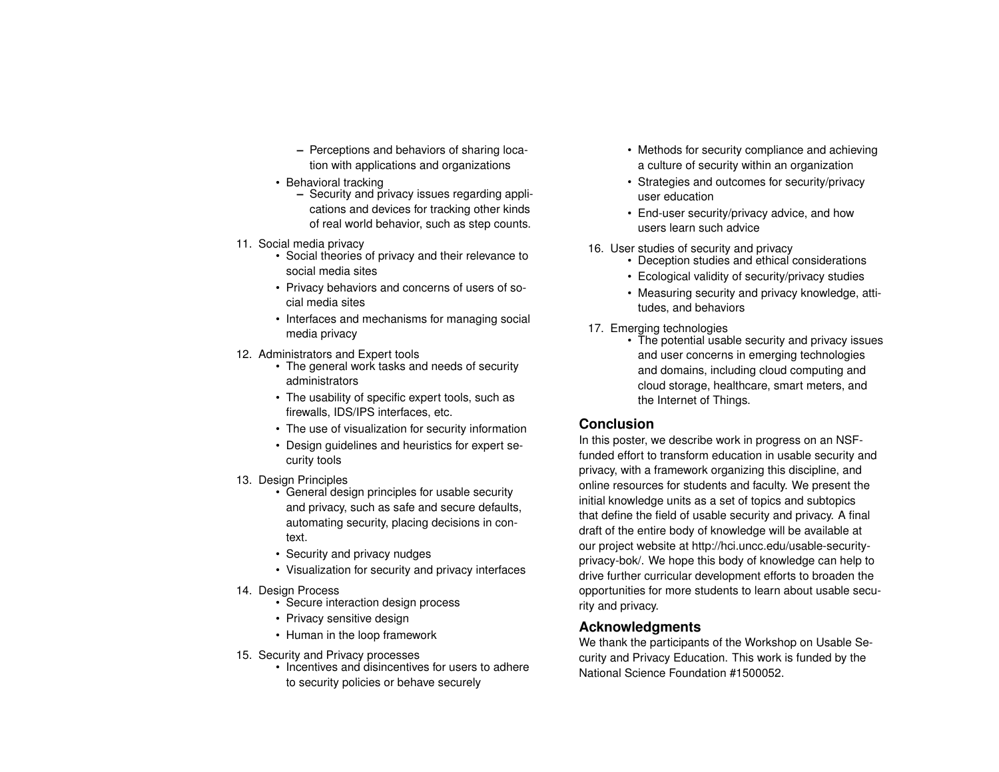- **–** Perceptions and behaviors of sharing location with applications and organizations
- Behavioral tracking
	- **–** Security and privacy issues regarding applications and devices for tracking other kinds of real world behavior, such as step counts.
- 11. Social media privacy
	- Social theories of privacy and their relevance to social media sites
	- Privacy behaviors and concerns of users of social media sites
	- Interfaces and mechanisms for managing social media privacy
- 12. Administrators and Expert tools
	- The general work tasks and needs of security administrators
	- The usability of specific expert tools, such as firewalls, IDS/IPS interfaces, etc.
	- The use of visualization for security information
	- Design guidelines and heuristics for expert security tools
- 13. Design Principles
	- General design principles for usable security and privacy, such as safe and secure defaults, automating security, placing decisions in context.
	- Security and privacy nudges
	- Visualization for security and privacy interfaces
- 14. Design Process
	- Secure interaction design process
	- Privacy sensitive design
	- Human in the loop framework
- 15. Security and Privacy processes
	- Incentives and disincentives for users to adhere to security policies or behave securely
- Methods for security compliance and achieving a culture of security within an organization
- Strategies and outcomes for security/privacy user education
- End-user security/privacy advice, and how users learn such advice
- 16. User studies of security and privacy
	- Deception studies and ethical considerations
	- Ecological validity of security/privacy studies
	- Measuring security and privacy knowledge, attitudes, and behaviors
- 17. Emerging technologies
	- The potential usable security and privacy issues and user concerns in emerging technologies and domains, including cloud computing and cloud storage, healthcare, smart meters, and the Internet of Things.

# **Conclusion**

In this poster, we describe work in progress on an NSFfunded effort to transform education in usable security and privacy, with a framework organizing this discipline, and online resources for students and faculty. We present the initial knowledge units as a set of topics and subtopics that define the field of usable security and privacy. A final draft of the entire body of knowledge will be available at our project website at http://hci.uncc.edu/usable-securityprivacy-bok/. We hope this body of knowledge can help to drive further curricular development efforts to broaden the opportunities for more students to learn about usable security and privacy.

## **Acknowledgments**

We thank the participants of the Workshop on Usable Security and Privacy Education. This work is funded by the National Science Foundation #1500052.